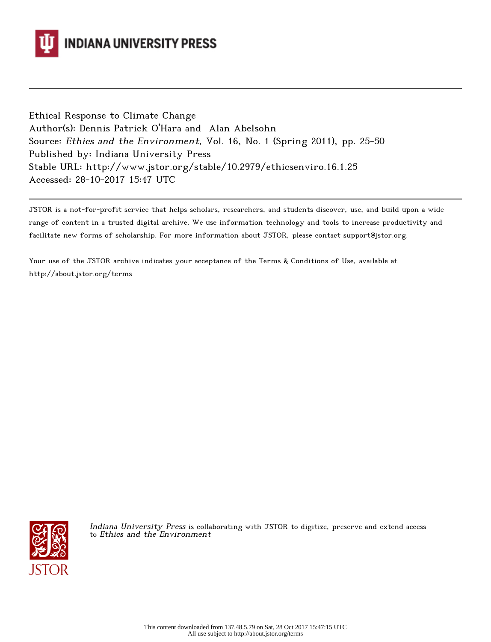

# **INDIANA UNIVERSITY PRESS**

Ethical Response to Climate Change Author(s): Dennis Patrick O'Hara and Alan Abelsohn Source: Ethics and the Environment, Vol. 16, No. 1 (Spring 2011), pp. 25-50 Published by: Indiana University Press Stable URL: http://www.jstor.org/stable/10.2979/ethicsenviro.16.1.25 Accessed: 28-10-2017 15:47 UTC

JSTOR is a not-for-profit service that helps scholars, researchers, and students discover, use, and build upon a wide range of content in a trusted digital archive. We use information technology and tools to increase productivity and facilitate new forms of scholarship. For more information about JSTOR, please contact support@jstor.org.

Your use of the JSTOR archive indicates your acceptance of the Terms & Conditions of Use, available at http://about.jstor.org/terms



Indiana University Press is collaborating with JSTOR to digitize, preserve and extend access to Ethics and the Environment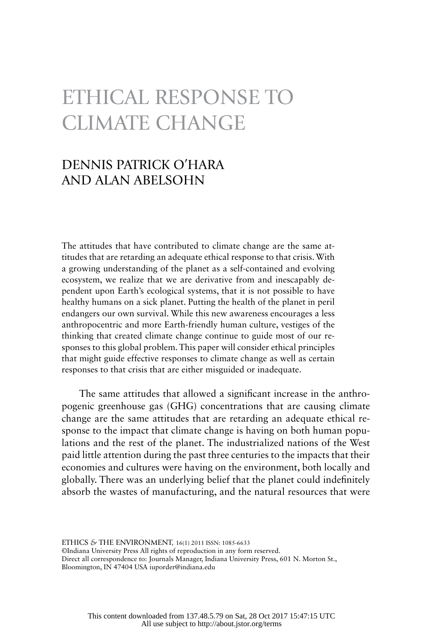# Ethical Response to Climate Change

# Dennis Patrick O'Hara and Alan Abelsohn

The attitudes that have contributed to climate change are the same attitudes that are retarding an adequate ethical response to that crisis. With a growing understanding of the planet as a self-contained and evolving ecosystem, we realize that we are derivative from and inescapably dependent upon Earth's ecological systems, that it is not possible to have healthy humans on a sick planet. Putting the health of the planet in peril endangers our own survival. While this new awareness encourages a less anthropocentric and more Earth-friendly human culture, vestiges of the thinking that created climate change continue to guide most of our responses to this global problem. This paper will consider ethical principles that might guide effective responses to climate change as well as certain responses to that crisis that are either misguided or inadequate.

The same attitudes that allowed a significant increase in the anthropogenic greenhouse gas (GHG) concentrations that are causing climate change are the same attitudes that are retarding an adequate ethical response to the impact that climate change is having on both human populations and the rest of the planet. The industrialized nations of the West paid little attention during the past three centuries to the impacts that their economies and cultures were having on the environment, both locally and globally. There was an underlying belief that the planet could indefinitely absorb the wastes of manufacturing, and the natural resources that were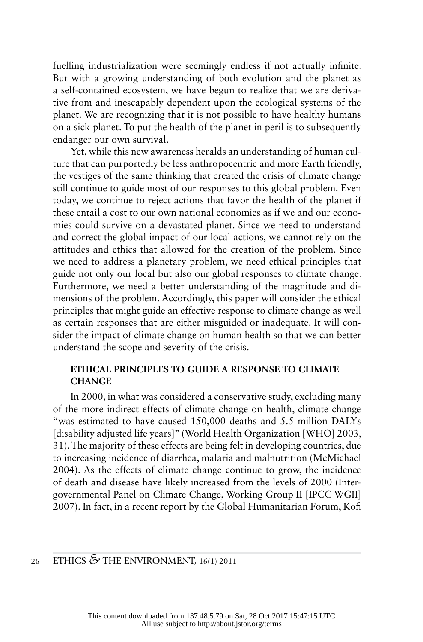fuelling industrialization were seemingly endless if not actually infinite. But with a growing understanding of both evolution and the planet as a self-contained ecosystem, we have begun to realize that we are derivative from and inescapably dependent upon the ecological systems of the planet. We are recognizing that it is not possible to have healthy humans on a sick planet. To put the health of the planet in peril is to subsequently endanger our own survival.

Yet, while this new awareness heralds an understanding of human culture that can purportedly be less anthropocentric and more Earth friendly, the vestiges of the same thinking that created the crisis of climate change still continue to guide most of our responses to this global problem. Even today, we continue to reject actions that favor the health of the planet if these entail a cost to our own national economies as if we and our economies could survive on a devastated planet. Since we need to understand and correct the global impact of our local actions, we cannot rely on the attitudes and ethics that allowed for the creation of the problem. Since we need to address a planetary problem, we need ethical principles that guide not only our local but also our global responses to climate change. Furthermore, we need a better understanding of the magnitude and dimensions of the problem. Accordingly, this paper will consider the ethical principles that might guide an effective response to climate change as well as certain responses that are either misguided or inadequate. It will consider the impact of climate change on human health so that we can better understand the scope and severity of the crisis.

#### **Ethical Principles to guide a Response to Climate Change**

In 2000, in what was considered a conservative study, excluding many of the more indirect effects of climate change on health, climate change "was estimated to have caused 150,000 deaths and 5.5 million DALYs [disability adjusted life years]" (World Health Organization [WHO] 2003, 31). The majority of these effects are being felt in developing countries, due to increasing incidence of diarrhea, malaria and malnutrition (McMichael 2004). As the effects of climate change continue to grow, the incidence of death and disease have likely increased from the levels of 2000 (Intergovernmental Panel on Climate Change, Working Group II [IPCC WGII] 2007). In fact, in a recent report by the Global Humanitarian Forum, Kofi

# 26 ETHICS  $\mathcal{E}$  THE ENVIRONMENT, 16(1) 2011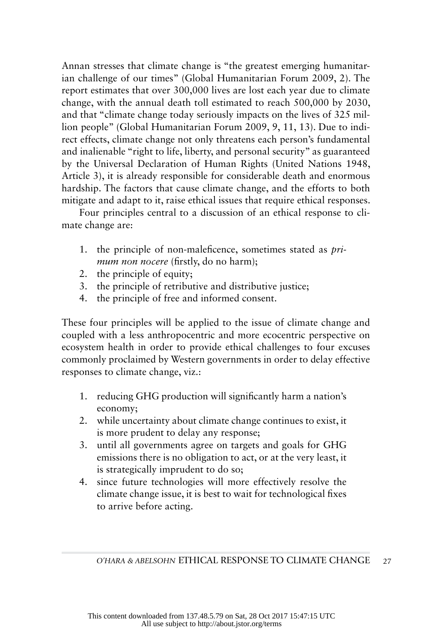Annan stresses that climate change is "the greatest emerging humanitarian challenge of our times" (Global Humanitarian Forum 2009, 2). The report estimates that over 300,000 lives are lost each year due to climate change, with the annual death toll estimated to reach 500,000 by 2030, and that "climate change today seriously impacts on the lives of 325 million people" (Global Humanitarian Forum 2009, 9, 11, 13). Due to indirect effects, climate change not only threatens each person's fundamental and inalienable "right to life, liberty, and personal security" as guaranteed by the Universal Declaration of Human Rights (United Nations 1948, Article 3), it is already responsible for considerable death and enormous hardship. The factors that cause climate change, and the efforts to both mitigate and adapt to it, raise ethical issues that require ethical responses.

Four principles central to a discussion of an ethical response to climate change are:

- 1. the principle of non-maleficence, sometimes stated as *primum non nocere* (firstly, do no harm);
- 2. the principle of equity;
- 3. the principle of retributive and distributive justice;
- 4. the principle of free and informed consent.

These four principles will be applied to the issue of climate change and coupled with a less anthropocentric and more ecocentric perspective on ecosystem health in order to provide ethical challenges to four excuses commonly proclaimed by Western governments in order to delay effective responses to climate change, viz.:

- 1. reducing GHG production will significantly harm a nation's economy;
- 2. while uncertainty about climate change continues to exist, it is more prudent to delay any response;
- 3. until all governments agree on targets and goals for GHG emissions there is no obligation to act, or at the very least, it is strategically imprudent to do so;
- 4. since future technologies will more effectively resolve the climate change issue, it is best to wait for technological fixes to arrive before acting.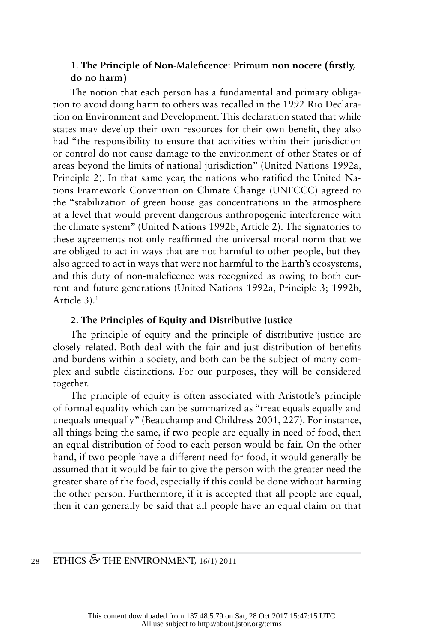### **1. The Principle of Non-Maleficence: Primum non nocere (firstly, do no harm)**

The notion that each person has a fundamental and primary obligation to avoid doing harm to others was recalled in the 1992 Rio Declaration on Environment and Development. This declaration stated that while states may develop their own resources for their own benefit, they also had "the responsibility to ensure that activities within their jurisdiction or control do not cause damage to the environment of other States or of areas beyond the limits of national jurisdiction" (United Nations 1992a, Principle 2). In that same year, the nations who ratified the United Nations Framework Convention on Climate Change (UNFCCC) agreed to the "stabilization of green house gas concentrations in the atmosphere at a level that would prevent dangerous anthropogenic interference with the climate system" (United Nations 1992b, Article 2). The signatories to these agreements not only reaffirmed the universal moral norm that we are obliged to act in ways that are not harmful to other people, but they also agreed to act in ways that were not harmful to the Earth's ecosystems, and this duty of non-maleficence was recognized as owing to both current and future generations (United Nations 1992a, Principle 3; 1992b, Article 3).1

#### **2. The Principles of Equity and Distributive Justice**

The principle of equity and the principle of distributive justice are closely related. Both deal with the fair and just distribution of benefits and burdens within a society, and both can be the subject of many complex and subtle distinctions. For our purposes, they will be considered together.

The principle of equity is often associated with Aristotle's principle of formal equality which can be summarized as "treat equals equally and unequals unequally" (Beauchamp and Childress 2001, 227). For instance, all things being the same, if two people are equally in need of food, then an equal distribution of food to each person would be fair. On the other hand, if two people have a different need for food, it would generally be assumed that it would be fair to give the person with the greater need the greater share of the food, especially if this could be done without harming the other person. Furthermore, if it is accepted that all people are equal, then it can generally be said that all people have an equal claim on that

# 28 ETHICS  $\mathcal{E}$  THE ENVIRONMENT, 16(1) 2011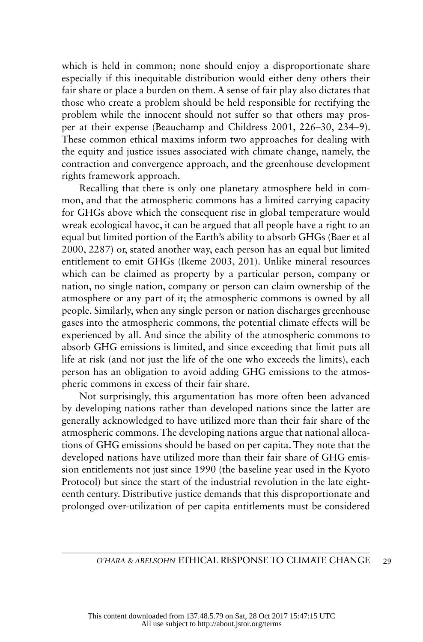which is held in common; none should enjoy a disproportionate share especially if this inequitable distribution would either deny others their fair share or place a burden on them. A sense of fair play also dictates that those who create a problem should be held responsible for rectifying the problem while the innocent should not suffer so that others may prosper at their expense (Beauchamp and Childress 2001, 226–30, 234–9). These common ethical maxims inform two approaches for dealing with the equity and justice issues associated with climate change, namely, the contraction and convergence approach, and the greenhouse development rights framework approach.

Recalling that there is only one planetary atmosphere held in common, and that the atmospheric commons has a limited carrying capacity for GHGs above which the consequent rise in global temperature would wreak ecological havoc, it can be argued that all people have a right to an equal but limited portion of the Earth's ability to absorb GHGs (Baer et al 2000, 2287) or, stated another way, each person has an equal but limited entitlement to emit GHGs (Ikeme 2003, 201). Unlike mineral resources which can be claimed as property by a particular person, company or nation, no single nation, company or person can claim ownership of the atmosphere or any part of it; the atmospheric commons is owned by all people. Similarly, when any single person or nation discharges greenhouse gases into the atmospheric commons, the potential climate effects will be experienced by all. And since the ability of the atmospheric commons to absorb GHG emissions is limited, and since exceeding that limit puts all life at risk (and not just the life of the one who exceeds the limits), each person has an obligation to avoid adding GHG emissions to the atmospheric commons in excess of their fair share.

Not surprisingly, this argumentation has more often been advanced by developing nations rather than developed nations since the latter are generally acknowledged to have utilized more than their fair share of the atmospheric commons. The developing nations argue that national allocations of GHG emissions should be based on per capita. They note that the developed nations have utilized more than their fair share of GHG emission entitlements not just since 1990 (the baseline year used in the Kyoto Protocol) but since the start of the industrial revolution in the late eighteenth century. Distributive justice demands that this disproportionate and prolonged over-utilization of per capita entitlements must be considered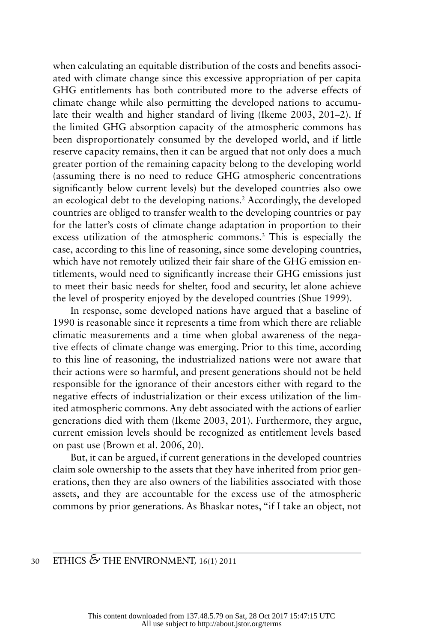when calculating an equitable distribution of the costs and benefits associated with climate change since this excessive appropriation of per capita GHG entitlements has both contributed more to the adverse effects of climate change while also permitting the developed nations to accumulate their wealth and higher standard of living (Ikeme 2003, 201–2). If the limited GHG absorption capacity of the atmospheric commons has been disproportionately consumed by the developed world, and if little reserve capacity remains, then it can be argued that not only does a much greater portion of the remaining capacity belong to the developing world (assuming there is no need to reduce GHG atmospheric concentrations significantly below current levels) but the developed countries also owe an ecological debt to the developing nations.2 Accordingly, the developed countries are obliged to transfer wealth to the developing countries or pay for the latter's costs of climate change adaptation in proportion to their excess utilization of the atmospheric commons.3 This is especially the case, according to this line of reasoning, since some developing countries, which have not remotely utilized their fair share of the GHG emission entitlements, would need to significantly increase their GHG emissions just to meet their basic needs for shelter, food and security, let alone achieve the level of prosperity enjoyed by the developed countries (Shue 1999).

In response, some developed nations have argued that a baseline of 1990 is reasonable since it represents a time from which there are reliable climatic measurements and a time when global awareness of the negative effects of climate change was emerging. Prior to this time, according to this line of reasoning, the industrialized nations were not aware that their actions were so harmful, and present generations should not be held responsible for the ignorance of their ancestors either with regard to the negative effects of industrialization or their excess utilization of the limited atmospheric commons. Any debt associated with the actions of earlier generations died with them (Ikeme 2003, 201). Furthermore, they argue, current emission levels should be recognized as entitlement levels based on past use (Brown et al. 2006, 20).

But, it can be argued, if current generations in the developed countries claim sole ownership to the assets that they have inherited from prior generations, then they are also owners of the liabilities associated with those assets, and they are accountable for the excess use of the atmospheric commons by prior generations. As Bhaskar notes, "if I take an object, not

# 30 ETHICS  $\mathcal{\hat{S}}$  THE ENVIRONMENT, 16(1) 2011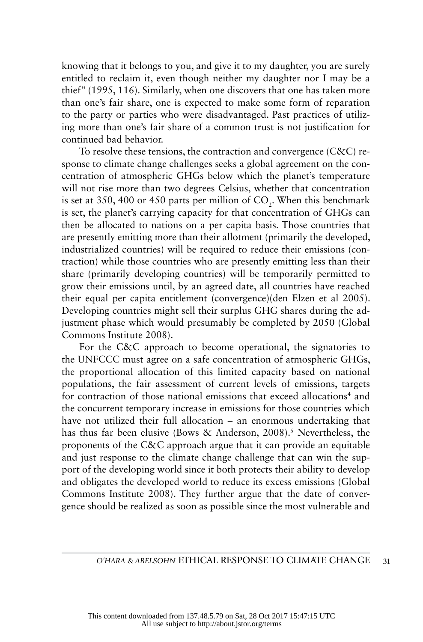knowing that it belongs to you, and give it to my daughter, you are surely entitled to reclaim it, even though neither my daughter nor I may be a thief" (1995, 116). Similarly, when one discovers that one has taken more than one's fair share, one is expected to make some form of reparation to the party or parties who were disadvantaged. Past practices of utilizing more than one's fair share of a common trust is not justification for continued bad behavior.

To resolve these tensions, the contraction and convergence (C&C) response to climate change challenges seeks a global agreement on the concentration of atmospheric GHGs below which the planet's temperature will not rise more than two degrees Celsius, whether that concentration is set at 350, 400 or 450 parts per million of  $CO<sub>2</sub>$ . When this benchmark is set, the planet's carrying capacity for that concentration of GHGs can then be allocated to nations on a per capita basis. Those countries that are presently emitting more than their allotment (primarily the developed, industrialized countries) will be required to reduce their emissions (contraction) while those countries who are presently emitting less than their share (primarily developing countries) will be temporarily permitted to grow their emissions until, by an agreed date, all countries have reached their equal per capita entitlement (convergence)(den Elzen et al 2005). Developing countries might sell their surplus GHG shares during the adjustment phase which would presumably be completed by 2050 (Global Commons Institute 2008).

For the C&C approach to become operational, the signatories to the UNFCCC must agree on a safe concentration of atmospheric GHGs, the proportional allocation of this limited capacity based on national populations, the fair assessment of current levels of emissions, targets for contraction of those national emissions that exceed allocations<sup>4</sup> and the concurrent temporary increase in emissions for those countries which have not utilized their full allocation – an enormous undertaking that has thus far been elusive (Bows & Anderson, 2008).<sup>5</sup> Nevertheless, the proponents of the C&C approach argue that it can provide an equitable and just response to the climate change challenge that can win the support of the developing world since it both protects their ability to develop and obligates the developed world to reduce its excess emissions (Global Commons Institute 2008). They further argue that the date of convergence should be realized as soon as possible since the most vulnerable and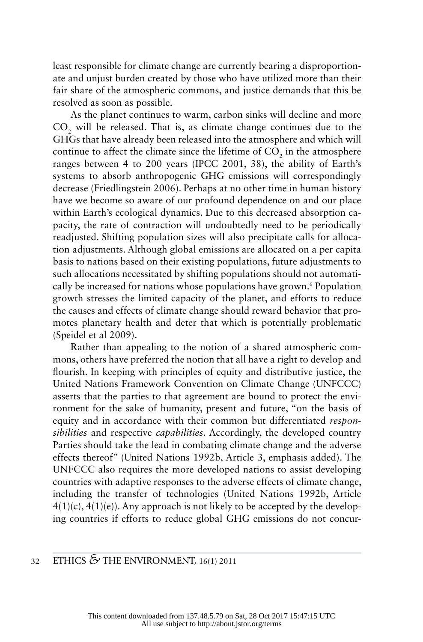least responsible for climate change are currently bearing a disproportionate and unjust burden created by those who have utilized more than their fair share of the atmospheric commons, and justice demands that this be resolved as soon as possible.

As the planet continues to warm, carbon sinks will decline and more  $CO<sub>2</sub>$  will be released. That is, as climate change continues due to the GHGs that have already been released into the atmosphere and which will continue to affect the climate since the lifetime of  $\mathrm{CO}_2$  in the atmosphere ranges between 4 to 200 years (IPCC 2001, 38), the ability of Earth's systems to absorb anthropogenic GHG emissions will correspondingly decrease (Friedlingstein 2006). Perhaps at no other time in human history have we become so aware of our profound dependence on and our place within Earth's ecological dynamics. Due to this decreased absorption capacity, the rate of contraction will undoubtedly need to be periodically readjusted. Shifting population sizes will also precipitate calls for allocation adjustments. Although global emissions are allocated on a per capita basis to nations based on their existing populations, future adjustments to such allocations necessitated by shifting populations should not automatically be increased for nations whose populations have grown.<sup>6</sup> Population growth stresses the limited capacity of the planet, and efforts to reduce the causes and effects of climate change should reward behavior that promotes planetary health and deter that which is potentially problematic (Speidel et al 2009).

Rather than appealing to the notion of a shared atmospheric commons, others have preferred the notion that all have a right to develop and flourish. In keeping with principles of equity and distributive justice, the United Nations Framework Convention on Climate Change (UNFCCC) asserts that the parties to that agreement are bound to protect the environment for the sake of humanity, present and future, "on the basis of equity and in accordance with their common but differentiated *responsibilities* and respective *capabilities*. Accordingly, the developed country Parties should take the lead in combating climate change and the adverse effects thereof" (United Nations 1992b, Article 3, emphasis added). The UNFCCC also requires the more developed nations to assist developing countries with adaptive responses to the adverse effects of climate change, including the transfer of technologies (United Nations 1992b, Article  $4(1)(c)$ ,  $4(1)(e)$ ). Any approach is not likely to be accepted by the developing countries if efforts to reduce global GHG emissions do not concur-

# 32 ETHICS  $\mathcal{\hat{S}}$  THE ENVIRONMENT, 16(1) 2011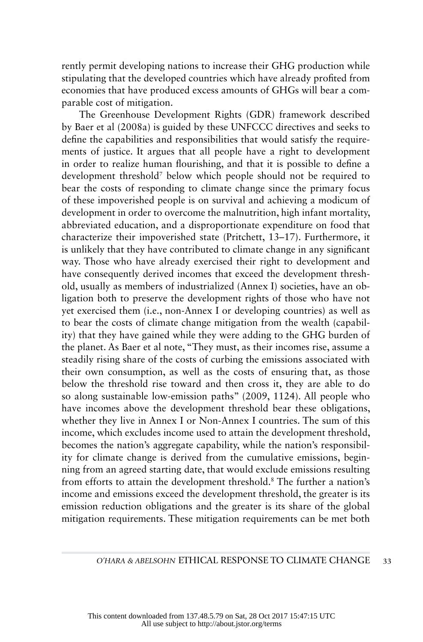rently permit developing nations to increase their GHG production while stipulating that the developed countries which have already profited from economies that have produced excess amounts of GHGs will bear a comparable cost of mitigation.

The Greenhouse Development Rights (GDR) framework described by Baer et al (2008a) is guided by these UNFCCC directives and seeks to define the capabilities and responsibilities that would satisfy the requirements of justice. It argues that all people have a right to development in order to realize human flourishing, and that it is possible to define a development threshold<sup>7</sup> below which people should not be required to bear the costs of responding to climate change since the primary focus of these impoverished people is on survival and achieving a modicum of development in order to overcome the malnutrition, high infant mortality, abbreviated education, and a disproportionate expenditure on food that characterize their impoverished state (Pritchett, 13–17). Furthermore, it is unlikely that they have contributed to climate change in any significant way. Those who have already exercised their right to development and have consequently derived incomes that exceed the development threshold, usually as members of industrialized (Annex I) societies, have an obligation both to preserve the development rights of those who have not yet exercised them (i.e., non-Annex I or developing countries) as well as to bear the costs of climate change mitigation from the wealth (capability) that they have gained while they were adding to the GHG burden of the planet. As Baer et al note, "They must, as their incomes rise, assume a steadily rising share of the costs of curbing the emissions associated with their own consumption, as well as the costs of ensuring that, as those below the threshold rise toward and then cross it, they are able to do so along sustainable low-emission paths" (2009, 1124). All people who have incomes above the development threshold bear these obligations, whether they live in Annex I or Non-Annex I countries. The sum of this income, which excludes income used to attain the development threshold, becomes the nation's aggregate capability, while the nation's responsibility for climate change is derived from the cumulative emissions, beginning from an agreed starting date, that would exclude emissions resulting from efforts to attain the development threshold.<sup>8</sup> The further a nation's income and emissions exceed the development threshold, the greater is its emission reduction obligations and the greater is its share of the global mitigation requirements. These mitigation requirements can be met both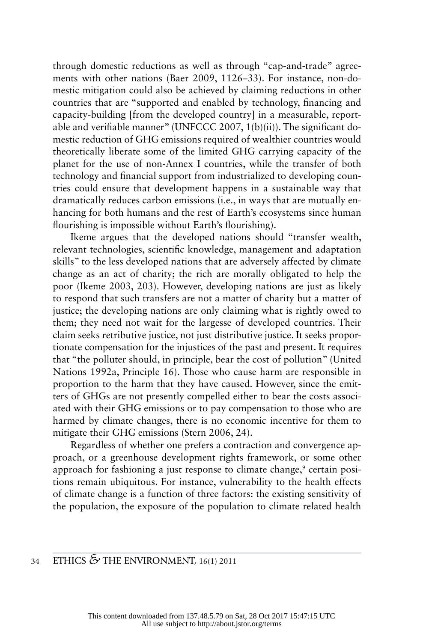through domestic reductions as well as through "cap-and-trade" agreements with other nations (Baer 2009, 1126–33). For instance, non-domestic mitigation could also be achieved by claiming reductions in other countries that are "supported and enabled by technology, financing and capacity-building [from the developed country] in a measurable, reportable and verifiable manner" (UNFCCC 2007, 1(b)(ii)). The significant domestic reduction of GHG emissions required of wealthier countries would theoretically liberate some of the limited GHG carrying capacity of the planet for the use of non-Annex I countries, while the transfer of both technology and financial support from industrialized to developing countries could ensure that development happens in a sustainable way that dramatically reduces carbon emissions (i.e., in ways that are mutually enhancing for both humans and the rest of Earth's ecosystems since human flourishing is impossible without Earth's flourishing).

Ikeme argues that the developed nations should "transfer wealth, relevant technologies, scientific knowledge, management and adaptation skills" to the less developed nations that are adversely affected by climate change as an act of charity; the rich are morally obligated to help the poor (Ikeme 2003, 203). However, developing nations are just as likely to respond that such transfers are not a matter of charity but a matter of justice; the developing nations are only claiming what is rightly owed to them; they need not wait for the largesse of developed countries. Their claim seeks retributive justice, not just distributive justice. It seeks proportionate compensation for the injustices of the past and present. It requires that "the polluter should, in principle, bear the cost of pollution" (United Nations 1992a, Principle 16). Those who cause harm are responsible in proportion to the harm that they have caused. However, since the emitters of GHGs are not presently compelled either to bear the costs associated with their GHG emissions or to pay compensation to those who are harmed by climate changes, there is no economic incentive for them to mitigate their GHG emissions (Stern 2006, 24).

Regardless of whether one prefers a contraction and convergence approach, or a greenhouse development rights framework, or some other approach for fashioning a just response to climate change,<sup>9</sup> certain positions remain ubiquitous. For instance, vulnerability to the health effects of climate change is a function of three factors: the existing sensitivity of the population, the exposure of the population to climate related health

# 34 ETHICS  $\mathcal{\hat{S}}$  THE ENVIRONMENT, 16(1) 2011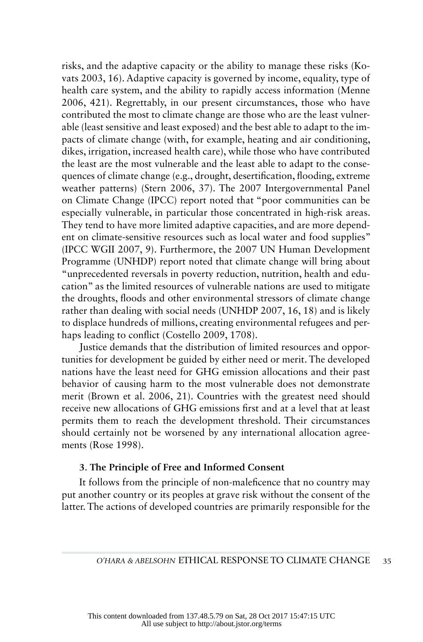risks, and the adaptive capacity or the ability to manage these risks (Kovats 2003, 16). Adaptive capacity is governed by income, equality, type of health care system, and the ability to rapidly access information (Menne 2006, 421). Regrettably, in our present circumstances, those who have contributed the most to climate change are those who are the least vulnerable (least sensitive and least exposed) and the best able to adapt to the impacts of climate change (with, for example, heating and air conditioning, dikes, irrigation, increased health care), while those who have contributed the least are the most vulnerable and the least able to adapt to the consequences of climate change (e.g., drought, desertification, flooding, extreme weather patterns) (Stern 2006, 37). The 2007 Intergovernmental Panel on Climate Change (IPCC) report noted that "poor communities can be especially vulnerable, in particular those concentrated in high-risk areas. They tend to have more limited adaptive capacities, and are more dependent on climate-sensitive resources such as local water and food supplies" (IPCC WGII 2007, 9). Furthermore, the 2007 UN Human Development Programme (UNHDP) report noted that climate change will bring about "unprecedented reversals in poverty reduction, nutrition, health and education" as the limited resources of vulnerable nations are used to mitigate the droughts, floods and other environmental stressors of climate change rather than dealing with social needs (UNHDP 2007, 16, 18) and is likely to displace hundreds of millions, creating environmental refugees and perhaps leading to conflict (Costello 2009, 1708).

Justice demands that the distribution of limited resources and opportunities for development be guided by either need or merit. The developed nations have the least need for GHG emission allocations and their past behavior of causing harm to the most vulnerable does not demonstrate merit (Brown et al. 2006, 21). Countries with the greatest need should receive new allocations of GHG emissions first and at a level that at least permits them to reach the development threshold. Their circumstances should certainly not be worsened by any international allocation agreements (Rose 1998).

#### **3. The Principle of Free and Informed Consent**

It follows from the principle of non-maleficence that no country may put another country or its peoples at grave risk without the consent of the latter. The actions of developed countries are primarily responsible for the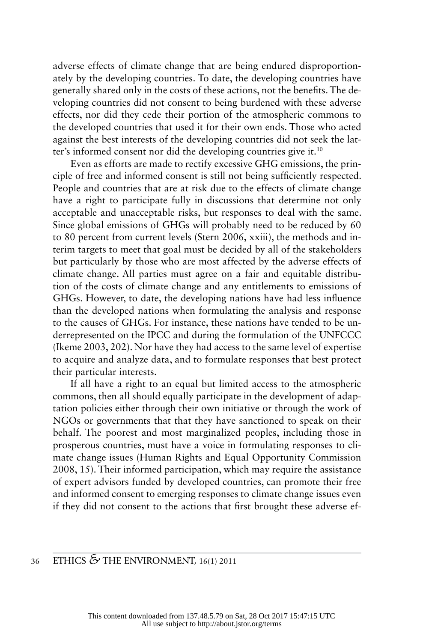adverse effects of climate change that are being endured disproportionately by the developing countries. To date, the developing countries have generally shared only in the costs of these actions, not the benefits. The developing countries did not consent to being burdened with these adverse effects, nor did they cede their portion of the atmospheric commons to the developed countries that used it for their own ends. Those who acted against the best interests of the developing countries did not seek the latter's informed consent nor did the developing countries give it.10

Even as efforts are made to rectify excessive GHG emissions, the principle of free and informed consent is still not being sufficiently respected. People and countries that are at risk due to the effects of climate change have a right to participate fully in discussions that determine not only acceptable and unacceptable risks, but responses to deal with the same. Since global emissions of GHGs will probably need to be reduced by 60 to 80 percent from current levels (Stern 2006, xxiii), the methods and interim targets to meet that goal must be decided by all of the stakeholders but particularly by those who are most affected by the adverse effects of climate change. All parties must agree on a fair and equitable distribution of the costs of climate change and any entitlements to emissions of GHGs. However, to date, the developing nations have had less influence than the developed nations when formulating the analysis and response to the causes of GHGs. For instance, these nations have tended to be underrepresented on the IPCC and during the formulation of the UNFCCC (Ikeme 2003, 202). Nor have they had access to the same level of expertise to acquire and analyze data, and to formulate responses that best protect their particular interests.

If all have a right to an equal but limited access to the atmospheric commons, then all should equally participate in the development of adaptation policies either through their own initiative or through the work of NGOs or governments that that they have sanctioned to speak on their behalf. The poorest and most marginalized peoples, including those in prosperous countries, must have a voice in formulating responses to climate change issues (Human Rights and Equal Opportunity Commission 2008, 15). Their informed participation, which may require the assistance of expert advisors funded by developed countries, can promote their free and informed consent to emerging responses to climate change issues even if they did not consent to the actions that first brought these adverse ef-

# 36 ETHICS  $\mathcal{\hat{S}}$  THE ENVIRONMENT, 16(1) 2011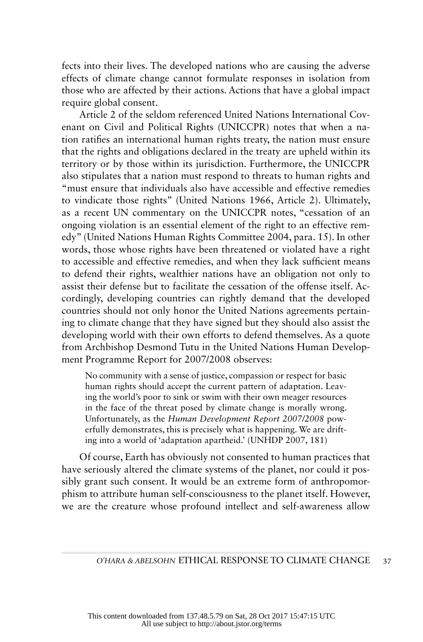fects into their lives. The developed nations who are causing the adverse effects of climate change cannot formulate responses in isolation from those who are affected by their actions. Actions that have a global impact require global consent.

Article 2 of the seldom referenced United Nations International Covenant on Civil and Political Rights (UNICCPR) notes that when a nation ratifies an international human rights treaty, the nation must ensure that the rights and obligations declared in the treaty are upheld within its territory or by those within its jurisdiction. Furthermore, the UNICCPR also stipulates that a nation must respond to threats to human rights and "must ensure that individuals also have accessible and effective remedies to vindicate those rights" (United Nations 1966, Article 2). Ultimately, as a recent UN commentary on the UNICCPR notes, "cessation of an ongoing violation is an essential element of the right to an effective remedy" (United Nations Human Rights Committee 2004, para. 15). In other words, those whose rights have been threatened or violated have a right to accessible and effective remedies, and when they lack sufficient means to defend their rights, wealthier nations have an obligation not only to assist their defense but to facilitate the cessation of the offense itself. Accordingly, developing countries can rightly demand that the developed countries should not only honor the United Nations agreements pertaining to climate change that they have signed but they should also assist the developing world with their own efforts to defend themselves. As a quote from Archbishop Desmond Tutu in the United Nations Human Development Programme Report for 2007/2008 observes:

No community with a sense of justice, compassion or respect for basic human rights should accept the current pattern of adaptation. Leaving the world's poor to sink or swim with their own meager resources in the face of the threat posed by climate change is morally wrong. Unfortunately, as the *Human Development Report 2007/2008* powerfully demonstrates, this is precisely what is happening. We are drifting into a world of 'adaptation apartheid.' (UNHDP 2007, 181)

Of course, Earth has obviously not consented to human practices that have seriously altered the climate systems of the planet, nor could it possibly grant such consent. It would be an extreme form of anthropomorphism to attribute human self-consciousness to the planet itself. However, we are the creature whose profound intellect and self-awareness allow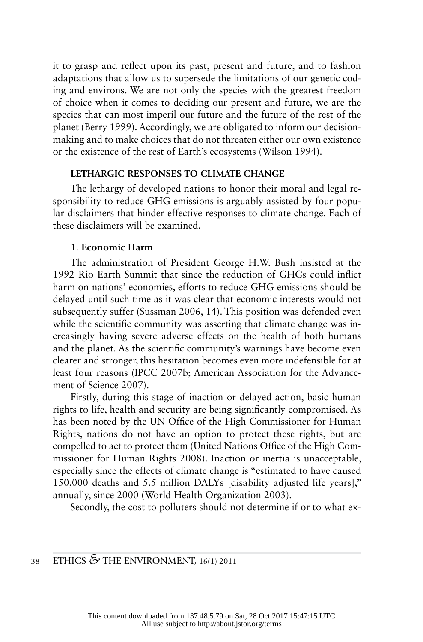it to grasp and reflect upon its past, present and future, and to fashion adaptations that allow us to supersede the limitations of our genetic coding and environs. We are not only the species with the greatest freedom of choice when it comes to deciding our present and future, we are the species that can most imperil our future and the future of the rest of the planet (Berry 1999). Accordingly, we are obligated to inform our decisionmaking and to make choices that do not threaten either our own existence or the existence of the rest of Earth's ecosystems (Wilson 1994).

#### **Lethargic Responses to Climate Change**

The lethargy of developed nations to honor their moral and legal responsibility to reduce GHG emissions is arguably assisted by four popular disclaimers that hinder effective responses to climate change. Each of these disclaimers will be examined.

#### **1. Economic Harm**

The administration of President George H.W. Bush insisted at the 1992 Rio Earth Summit that since the reduction of GHGs could inflict harm on nations' economies, efforts to reduce GHG emissions should be delayed until such time as it was clear that economic interests would not subsequently suffer (Sussman 2006, 14). This position was defended even while the scientific community was asserting that climate change was increasingly having severe adverse effects on the health of both humans and the planet. As the scientific community's warnings have become even clearer and stronger, this hesitation becomes even more indefensible for at least four reasons (IPCC 2007b; American Association for the Advancement of Science 2007).

Firstly, during this stage of inaction or delayed action, basic human rights to life, health and security are being significantly compromised. As has been noted by the UN Office of the High Commissioner for Human Rights, nations do not have an option to protect these rights, but are compelled to act to protect them (United Nations Office of the High Commissioner for Human Rights 2008). Inaction or inertia is unacceptable, especially since the effects of climate change is "estimated to have caused 150,000 deaths and 5.5 million DALYs [disability adjusted life years]," annually, since 2000 (World Health Organization 2003).

Secondly, the cost to polluters should not determine if or to what ex-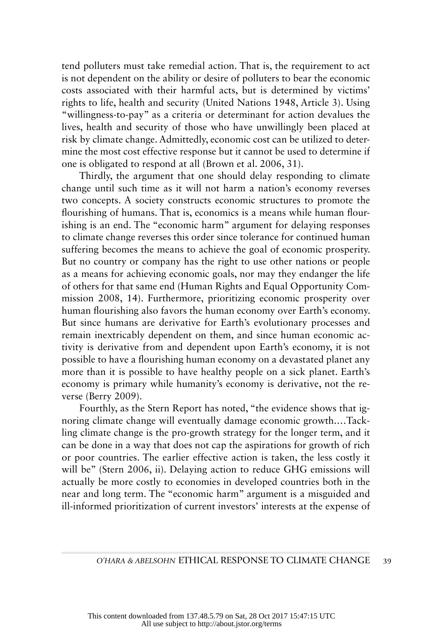tend polluters must take remedial action. That is, the requirement to act is not dependent on the ability or desire of polluters to bear the economic costs associated with their harmful acts, but is determined by victims' rights to life, health and security (United Nations 1948, Article 3). Using "willingness-to-pay" as a criteria or determinant for action devalues the lives, health and security of those who have unwillingly been placed at risk by climate change. Admittedly, economic cost can be utilized to determine the most cost effective response but it cannot be used to determine if one is obligated to respond at all (Brown et al. 2006, 31).

Thirdly, the argument that one should delay responding to climate change until such time as it will not harm a nation's economy reverses two concepts. A society constructs economic structures to promote the flourishing of humans. That is, economics is a means while human flourishing is an end. The "economic harm" argument for delaying responses to climate change reverses this order since tolerance for continued human suffering becomes the means to achieve the goal of economic prosperity. But no country or company has the right to use other nations or people as a means for achieving economic goals, nor may they endanger the life of others for that same end (Human Rights and Equal Opportunity Commission 2008, 14). Furthermore, prioritizing economic prosperity over human flourishing also favors the human economy over Earth's economy. But since humans are derivative for Earth's evolutionary processes and remain inextricably dependent on them, and since human economic activity is derivative from and dependent upon Earth's economy, it is not possible to have a flourishing human economy on a devastated planet any more than it is possible to have healthy people on a sick planet. Earth's economy is primary while humanity's economy is derivative, not the reverse (Berry 2009).

Fourthly, as the Stern Report has noted, "the evidence shows that ignoring climate change will eventually damage economic growth.…Tackling climate change is the pro-growth strategy for the longer term, and it can be done in a way that does not cap the aspirations for growth of rich or poor countries. The earlier effective action is taken, the less costly it will be" (Stern 2006, ii). Delaying action to reduce GHG emissions will actually be more costly to economies in developed countries both in the near and long term. The "economic harm" argument is a misguided and ill-informed prioritization of current investors' interests at the expense of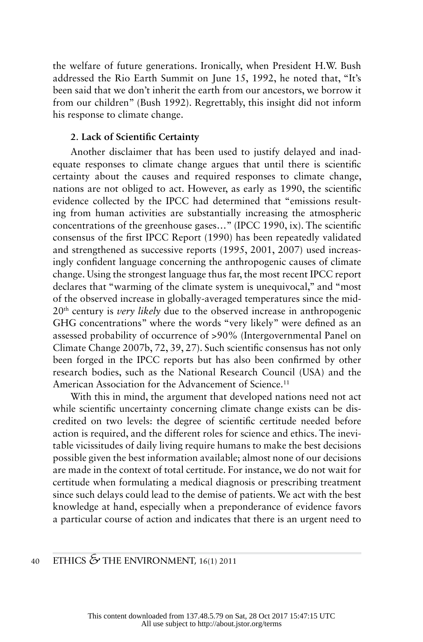the welfare of future generations. Ironically, when President H.W. Bush addressed the Rio Earth Summit on June 15, 1992, he noted that, "It's been said that we don't inherit the earth from our ancestors, we borrow it from our children" (Bush 1992). Regrettably, this insight did not inform his response to climate change.

#### **2. Lack of Scientific Certainty**

Another disclaimer that has been used to justify delayed and inadequate responses to climate change argues that until there is scientific certainty about the causes and required responses to climate change, nations are not obliged to act. However, as early as 1990, the scientific evidence collected by the IPCC had determined that "emissions resulting from human activities are substantially increasing the atmospheric concentrations of the greenhouse gases…" (IPCC 1990, ix). The scientific consensus of the first IPCC Report (1990) has been repeatedly validated and strengthened as successive reports (1995, 2001, 2007) used increasingly confident language concerning the anthropogenic causes of climate change. Using the strongest language thus far, the most recent IPCC report declares that "warming of the climate system is unequivocal," and "most of the observed increase in globally-averaged temperatures since the mid-20<sup>th</sup> century is *very likely* due to the observed increase in anthropogenic GHG concentrations" where the words "very likely" were defined as an assessed probability of occurrence of >90% (Intergovernmental Panel on Climate Change 2007b, 72, 39, 27). Such scientific consensus has not only been forged in the IPCC reports but has also been confirmed by other research bodies, such as the National Research Council (USA) and the American Association for the Advancement of Science.<sup>11</sup>

With this in mind, the argument that developed nations need not act while scientific uncertainty concerning climate change exists can be discredited on two levels: the degree of scientific certitude needed before action is required, and the different roles for science and ethics. The inevitable vicissitudes of daily living require humans to make the best decisions possible given the best information available; almost none of our decisions are made in the context of total certitude. For instance, we do not wait for certitude when formulating a medical diagnosis or prescribing treatment since such delays could lead to the demise of patients. We act with the best knowledge at hand, especially when a preponderance of evidence favors a particular course of action and indicates that there is an urgent need to

## 40 ETHICS  $\mathcal{E}$  THE ENVIRONMENT, 16(1) 2011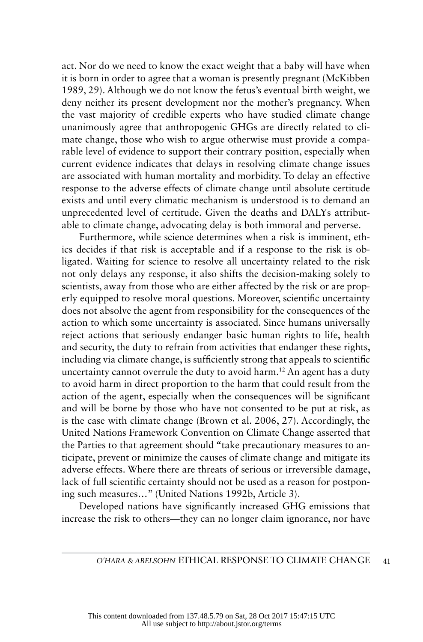act. Nor do we need to know the exact weight that a baby will have when it is born in order to agree that a woman is presently pregnant (McKibben 1989, 29). Although we do not know the fetus's eventual birth weight, we deny neither its present development nor the mother's pregnancy. When the vast majority of credible experts who have studied climate change unanimously agree that anthropogenic GHGs are directly related to climate change, those who wish to argue otherwise must provide a comparable level of evidence to support their contrary position, especially when current evidence indicates that delays in resolving climate change issues are associated with human mortality and morbidity. To delay an effective response to the adverse effects of climate change until absolute certitude exists and until every climatic mechanism is understood is to demand an unprecedented level of certitude. Given the deaths and DALYs attributable to climate change, advocating delay is both immoral and perverse.

Furthermore, while science determines when a risk is imminent, ethics decides if that risk is acceptable and if a response to the risk is obligated. Waiting for science to resolve all uncertainty related to the risk not only delays any response, it also shifts the decision-making solely to scientists, away from those who are either affected by the risk or are properly equipped to resolve moral questions. Moreover, scientific uncertainty does not absolve the agent from responsibility for the consequences of the action to which some uncertainty is associated. Since humans universally reject actions that seriously endanger basic human rights to life, health and security, the duty to refrain from activities that endanger these rights, including via climate change, is sufficiently strong that appeals to scientific uncertainty cannot overrule the duty to avoid harm.<sup>12</sup> An agent has a duty to avoid harm in direct proportion to the harm that could result from the action of the agent, especially when the consequences will be significant and will be borne by those who have not consented to be put at risk, as is the case with climate change (Brown et al. 2006, 27). Accordingly, the United Nations Framework Convention on Climate Change asserted that the Parties to that agreement should **"**take precautionary measures to anticipate, prevent or minimize the causes of climate change and mitigate its adverse effects. Where there are threats of serious or irreversible damage, lack of full scientific certainty should not be used as a reason for postponing such measures…" (United Nations 1992b, Article 3).

Developed nations have significantly increased GHG emissions that increase the risk to others—they can no longer claim ignorance, nor have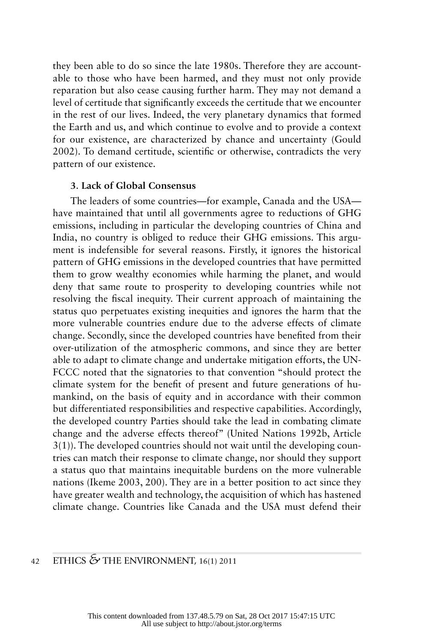they been able to do so since the late 1980s. Therefore they are accountable to those who have been harmed, and they must not only provide reparation but also cease causing further harm. They may not demand a level of certitude that significantly exceeds the certitude that we encounter in the rest of our lives. Indeed, the very planetary dynamics that formed the Earth and us, and which continue to evolve and to provide a context for our existence, are characterized by chance and uncertainty (Gould 2002). To demand certitude, scientific or otherwise, contradicts the very pattern of our existence.

#### **3. Lack of Global Consensus**

The leaders of some countries—for example, Canada and the USA have maintained that until all governments agree to reductions of GHG emissions, including in particular the developing countries of China and India, no country is obliged to reduce their GHG emissions. This argument is indefensible for several reasons. Firstly, it ignores the historical pattern of GHG emissions in the developed countries that have permitted them to grow wealthy economies while harming the planet, and would deny that same route to prosperity to developing countries while not resolving the fiscal inequity. Their current approach of maintaining the status quo perpetuates existing inequities and ignores the harm that the more vulnerable countries endure due to the adverse effects of climate change. Secondly, since the developed countries have benefited from their over-utilization of the atmospheric commons, and since they are better able to adapt to climate change and undertake mitigation efforts, the UN-FCCC noted that the signatories to that convention "should protect the climate system for the benefit of present and future generations of humankind, on the basis of equity and in accordance with their common but differentiated responsibilities and respective capabilities. Accordingly, the developed country Parties should take the lead in combating climate change and the adverse effects thereof" (United Nations 1992b, Article 3(1)). The developed countries should not wait until the developing countries can match their response to climate change, nor should they support a status quo that maintains inequitable burdens on the more vulnerable nations (Ikeme 2003, 200). They are in a better position to act since they have greater wealth and technology, the acquisition of which has hastened climate change. Countries like Canada and the USA must defend their

# 42 ETHICS  $\mathcal{E}$  THE ENVIRONMENT, 16(1) 2011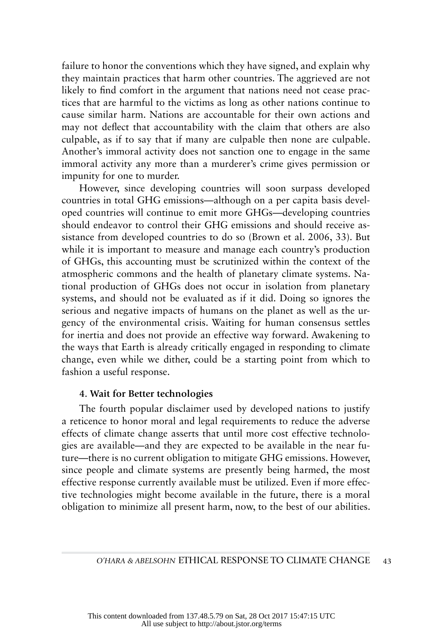failure to honor the conventions which they have signed, and explain why they maintain practices that harm other countries. The aggrieved are not likely to find comfort in the argument that nations need not cease practices that are harmful to the victims as long as other nations continue to cause similar harm. Nations are accountable for their own actions and may not deflect that accountability with the claim that others are also culpable, as if to say that if many are culpable then none are culpable. Another's immoral activity does not sanction one to engage in the same immoral activity any more than a murderer's crime gives permission or impunity for one to murder.

However, since developing countries will soon surpass developed countries in total GHG emissions—although on a per capita basis developed countries will continue to emit more GHGs—developing countries should endeavor to control their GHG emissions and should receive assistance from developed countries to do so (Brown et al. 2006, 33). But while it is important to measure and manage each country's production of GHGs, this accounting must be scrutinized within the context of the atmospheric commons and the health of planetary climate systems. National production of GHGs does not occur in isolation from planetary systems, and should not be evaluated as if it did. Doing so ignores the serious and negative impacts of humans on the planet as well as the urgency of the environmental crisis. Waiting for human consensus settles for inertia and does not provide an effective way forward. Awakening to the ways that Earth is already critically engaged in responding to climate change, even while we dither, could be a starting point from which to fashion a useful response.

#### **4. Wait for Better technologies**

The fourth popular disclaimer used by developed nations to justify a reticence to honor moral and legal requirements to reduce the adverse effects of climate change asserts that until more cost effective technologies are available—and they are expected to be available in the near future—there is no current obligation to mitigate GHG emissions. However, since people and climate systems are presently being harmed, the most effective response currently available must be utilized. Even if more effective technologies might become available in the future, there is a moral obligation to minimize all present harm, now, to the best of our abilities.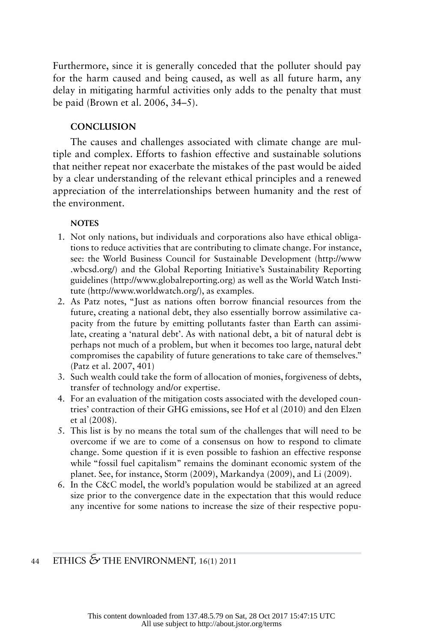Furthermore, since it is generally conceded that the polluter should pay for the harm caused and being caused, as well as all future harm, any delay in mitigating harmful activities only adds to the penalty that must be paid (Brown et al. 2006, 34–5).

#### **Conclusion**

The causes and challenges associated with climate change are multiple and complex. Efforts to fashion effective and sustainable solutions that neither repeat nor exacerbate the mistakes of the past would be aided by a clear understanding of the relevant ethical principles and a renewed appreciation of the interrelationships between humanity and the rest of the environment.

#### **Notes**

- 1. Not only nations, but individuals and corporations also have ethical obligations to reduce activities that are contributing to climate change. For instance, see: the World Business Council for Sustainable Development (http://www .wbcsd.org/) and the Global Reporting Initiative's Sustainability Reporting guidelines (http://www.globalreporting.org) as well as the World Watch Institute (http://www.worldwatch.org/), as examples.
- 2. As Patz notes, "Just as nations often borrow financial resources from the future, creating a national debt, they also essentially borrow assimilative capacity from the future by emitting pollutants faster than Earth can assimilate, creating a 'natural debt'. As with national debt, a bit of natural debt is perhaps not much of a problem, but when it becomes too large, natural debt compromises the capability of future generations to take care of themselves." (Patz et al. 2007, 401)
- 3. Such wealth could take the form of allocation of monies, forgiveness of debts, transfer of technology and/or expertise.
- 4. For an evaluation of the mitigation costs associated with the developed countries' contraction of their GHG emissions, see Hof et al (2010) and den Elzen et al (2008).
- 5. This list is by no means the total sum of the challenges that will need to be overcome if we are to come of a consensus on how to respond to climate change. Some question if it is even possible to fashion an effective response while "fossil fuel capitalism" remains the dominant economic system of the planet. See, for instance, Storm (2009), Markandya (2009), and Li (2009).
- 6. In the C&C model, the world's population would be stabilized at an agreed size prior to the convergence date in the expectation that this would reduce any incentive for some nations to increase the size of their respective popu-

# 44 ETHICS  $\mathcal{\hat{S}}$  THE ENVIRONMENT, 16(1) 2011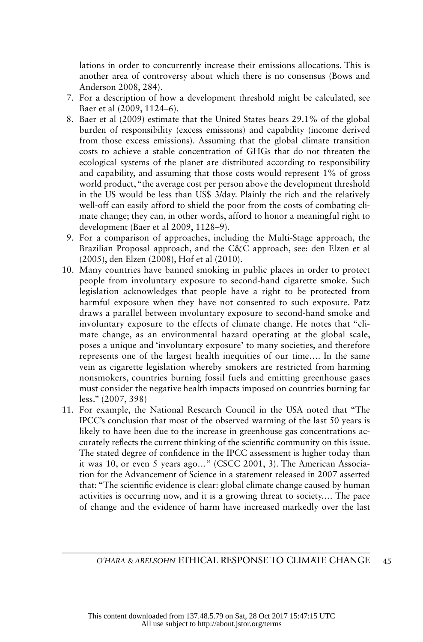lations in order to concurrently increase their emissions allocations. This is another area of controversy about which there is no consensus (Bows and Anderson 2008, 284).

- 7. For a description of how a development threshold might be calculated, see Baer et al (2009, 1124–6).
- 8. Baer et al (2009) estimate that the United States bears 29.1% of the global burden of responsibility (excess emissions) and capability (income derived from those excess emissions). Assuming that the global climate transition costs to achieve a stable concentration of GHGs that do not threaten the ecological systems of the planet are distributed according to responsibility and capability, and assuming that those costs would represent 1% of gross world product, "the average cost per person above the development threshold in the US would be less than US\$ 3/day. Plainly the rich and the relatively well-off can easily afford to shield the poor from the costs of combating climate change; they can, in other words, afford to honor a meaningful right to development (Baer et al 2009, 1128–9).
- 9. For a comparison of approaches, including the Multi-Stage approach, the Brazilian Proposal approach, and the C&C approach, see: den Elzen et al (2005), den Elzen (2008), Hof et al (2010).
- 10. Many countries have banned smoking in public places in order to protect people from involuntary exposure to second-hand cigarette smoke. Such legislation acknowledges that people have a right to be protected from harmful exposure when they have not consented to such exposure. Patz draws a parallel between involuntary exposure to second-hand smoke and involuntary exposure to the effects of climate change. He notes that "climate change, as an environmental hazard operating at the global scale, poses a unique and 'involuntary exposure' to many societies, and therefore represents one of the largest health inequities of our time…. In the same vein as cigarette legislation whereby smokers are restricted from harming nonsmokers, countries burning fossil fuels and emitting greenhouse gases must consider the negative health impacts imposed on countries burning far less." (2007, 398)
- 11. For example, the National Research Council in the USA noted that "The IPCC's conclusion that most of the observed warming of the last 50 years is likely to have been due to the increase in greenhouse gas concentrations accurately reflects the current thinking of the scientific community on this issue. The stated degree of confidence in the IPCC assessment is higher today than it was 10, or even 5 years ago…" (CSCC 2001, 3). The American Association for the Advancement of Science in a statement released in 2007 asserted that: "The scientific evidence is clear: global climate change caused by human activities is occurring now, and it is a growing threat to society.… The pace of change and the evidence of harm have increased markedly over the last

*o'hara & abelsohn* ethical response to climate change 45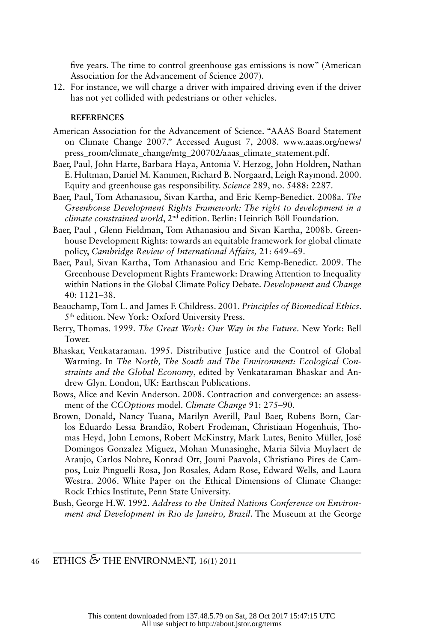five years. The time to control greenhouse gas emissions is now" (American Association for the Advancement of Science 2007).

12. For instance, we will charge a driver with impaired driving even if the driver has not yet collided with pedestrians or other vehicles.

#### **References**

- American Association for the Advancement of Science. "AAAS Board Statement on Climate Change 2007." Accessed August 7, 2008. www.aaas.org/news/ press\_room/climate\_change/mtg\_200702/aaas\_climate\_statement.pdf.
- Baer, Paul, John Harte, Barbara Haya, Antonia V. Herzog, John Holdren, Nathan E. Hultman, Daniel M. Kammen, Richard B. Norgaard, Leigh Raymond. 2000. Equity and greenhouse gas responsibility. *Science* 289, no. 5488: 2287.
- Baer, Paul, Tom Athanasiou, Sivan Kartha, and Eric Kemp-Benedict. 2008a. *The Greenhouse Development Rights Framework: The right to development in a climate constrained world*, 2nd edition. Berlin: Heinrich Böll Foundation.
- Baer, Paul , Glenn Fieldman, Tom Athanasiou and Sivan Kartha, 2008b. Greenhouse Development Rights: towards an equitable framework for global climate policy, *Cambridge Review of International Affairs,* 21: 649–69.
- Baer, Paul, Sivan Kartha, Tom Athanasiou and Eric Kemp-Benedict. 2009. The Greenhouse Development Rights Framework: Drawing Attention to Inequality within Nations in the Global Climate Policy Debate. *Development and Change* 40: 1121–38.
- Beauchamp, Tom L. and James F. Childress. 2001. *Principles of Biomedical Ethics*. 5th edition. New York: Oxford University Press.
- Berry, Thomas. 1999. *The Great Work: Our Way in the Future*. New York: Bell Tower.
- Bhaskar, Venkataraman. 1995. Distributive Justice and the Control of Global Warming. In *The North, The South and The Environment: Ecological Constraints and the Global Economy*, edited by Venkataraman Bhaskar and Andrew Glyn. London, UK: Earthscan Publications.
- Bows, Alice and Kevin Anderson. 2008. Contraction and convergence: an assessment of the *CCOptions* model. *Climate Change* 91: 275–90.
- Brown, Donald, Nancy Tuana, Marilyn Averill, Paul Baer, Rubens Born, Carlos Eduardo Lessa Brandão, Robert Frodeman, Christiaan Hogenhuis, Thomas Heyd, John Lemons, Robert McKinstry, Mark Lutes, Benito Müller, José Domingos Gonzalez Miguez, Mohan Munasinghe, Maria Silvia Muylaert de Araujo, Carlos Nobre, Konrad Ott, Jouni Paavola, Christiano Pires de Campos, Luiz Pinguelli Rosa, Jon Rosales, Adam Rose, Edward Wells, and Laura Westra. 2006. White Paper on the Ethical Dimensions of Climate Change: Rock Ethics Institute, Penn State University.
- Bush, George H.W. 1992. *Address to the United Nations Conference on Environment and Development in Rio de Janeiro, Brazil*. The Museum at the George

## 46 ETHICS  $\mathcal{E}$  THE ENVIRONMENT, 16(1) 2011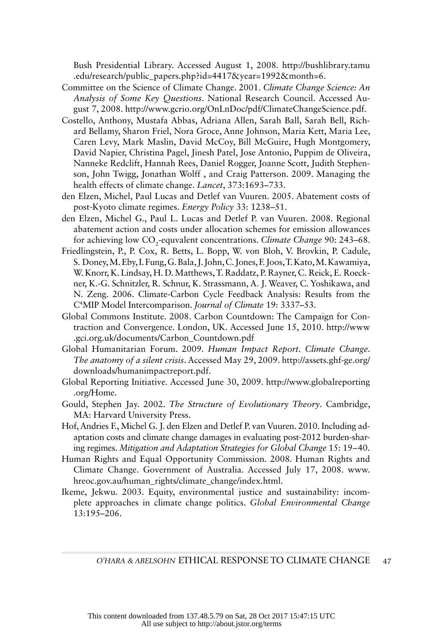Bush Presidential Library. Accessed August 1, 2008. http://bushlibrary.tamu .edu/research/public\_papers.php?id=4417&year=1992&month=6.

- Committee on the Science of Climate Change. 2001. *Climate Change Science: An Analysis of Some Key Questions*. National Research Council. Accessed August 7, 2008. http://www.gcrio.org/OnLnDoc/pdf/ClimateChangeScience.pdf.
- Costello, Anthony, Mustafa Abbas, Adriana Allen, Sarah Ball, Sarah Bell, Richard Bellamy, Sharon Friel, Nora Groce, Anne Johnson, Maria Kett, Maria Lee, Caren Levy, Mark Maslin, David McCoy, Bill McGuire, Hugh Montgomery, David Napier, Christina Pagel, Jinesh Patel, Jose Antonio, Puppim de Oliveira, Nanneke Redclift, Hannah Rees, Daniel Rogger, Joanne Scott, Judith Stephenson, John Twigg, Jonathan Wolff , and Craig Patterson. 2009. Managing the health effects of climate change. *Lancet*, 373:1693–733.
- den Elzen, Michel, Paul Lucas and Detlef van Vuuren. 2005. Abatement costs of post-Kyoto climate regimes. *Energy Policy* 33: 1238–51.
- den Elzen, Michel G., Paul L. Lucas and Detlef P. van Vuuren. 2008. Regional abatement action and costs under allocation schemes for emission allowances for achieving low CO<sub>2</sub>-equvalent concentrations. *Climate Change* 90: 243–68.
- Friedlingstein, P., P. Cox, R. Betts, L. Bopp, W. von Bloh, V. Brovkin, P. Cadule, S. Doney, M. Eby, I. Fung, G. Bala, J. John, C. Jones, F. Joos, T. Kato, M. Kawamiya, W. Knorr, K. Lindsay, H. D. Matthews, T. Raddatz, P. Rayner, C. Reick, E. Roeckner, K.-G. Schnitzler, R. Schnur, K. Strassmann, A. J. Weaver, C. Yoshikawa, and N. Zeng. 2006. Climate-Carbon Cycle Feedback Analysis: Results from the C4 MIP Model Intercomparison. *Journal of Climate* 19: 3337–53.
- Global Commons Institute. 2008. Carbon Countdown: The Campaign for Contraction and Convergence. London, UK. Accessed June 15, 2010. http://www .gci.org.uk/documents/Carbon\_Countdown.pdf
- Global Humanitarian Forum. 2009. *Human Impact Report. Climate Change. The anatomy of a silent crisis*. Accessed May 29, 2009. http://assets.ghf-ge.org/ downloads/humanimpactreport.pdf.
- Global Reporting Initiative. Accessed June 30, 2009. http://www.globalreporting .org/Home.
- Gould, Stephen Jay. 2002. *The Structure of Evolutionary Theory*. Cambridge, MA: Harvard University Press.
- Hof, Andries F., Michel G. J. den Elzen and Detlef P. van Vuuren. 2010. Including adaptation costs and climate change damages in evaluating post-2012 burden-sharing regimes. *Mitigation and Adaptation Strategies for Global Change* 15: 19–40.
- Human Rights and Equal Opportunity Commission. 2008. Human Rights and Climate Change. Government of Australia. Accessed July 17, 2008. www. hreoc.gov.au/human\_rights/climate\_change/index.html.
- Ikeme, Jekwu. 2003. Equity, environmental justice and sustainability: incomplete approaches in climate change politics. *Global Environmental Change* 13:195–206.

*o'hara & abelsohn* ethical response to climate change 47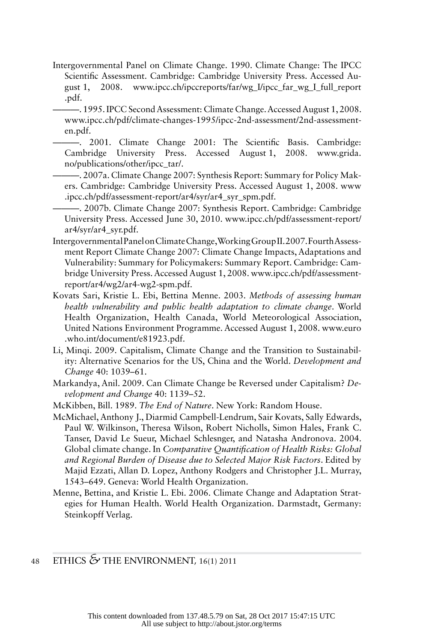- Intergovernmental Panel on Climate Change. 1990. Climate Change: The IPCC Scientific Assessment. Cambridge: Cambridge University Press. Accessed August 1, 2008. www.ipcc.ch/ipccreports/far/wg\_I/ipcc\_far\_wg\_I\_full\_report .pdf.
- ———. 1995. IPCC Second Assessment: Climate Change. Accessed August 1, 2008. www.ipcc.ch/pdf/climate-changes-1995/ipcc-2nd-assessment/2nd-assessmenten.pdf.
	- ———. 2001. Climate Change 2001: The Scientific Basis. Cambridge: Cambridge University Press. Accessed August 1, 2008. www.grida. no/publications/other/ipcc\_tar/.
	- ———. 2007a. Climate Change 2007: Synthesis Report: Summary for Policy Makers. Cambridge: Cambridge University Press. Accessed August 1, 2008. www .ipcc.ch/pdf/assessment-report/ar4/syr/ar4\_syr\_spm.pdf.
	- ———. 2007b. Climate Change 2007: Synthesis Report. Cambridge: Cambridge University Press. Accessed June 30, 2010. www.ipcc.ch/pdf/assessment-report/ ar4/syr/ar4\_syr.pdf.
- Intergovernmental Panel on Climate Change, Working Group II. 2007. Fourth Assessment Report Climate Change 2007: Climate Change Impacts, Adaptations and Vulnerability: Summary for Policymakers: Summary Report. Cambridge: Cambridge University Press. Accessed August 1, 2008. www.ipcc.ch/pdf/assessmentreport/ar4/wg2/ar4-wg2-spm.pdf.
- Kovats Sari, Kristie L. Ebi, Bettina Menne. 2003. *Methods of assessing human health vulnerability and public health adaptation to climate change*. World Health Organization, Health Canada, World Meteorological Association, United Nations Environment Programme. Accessed August 1, 2008. www.euro .who.int/document/e81923.pdf.
- Li, Minqi. 2009. Capitalism, Climate Change and the Transition to Sustainability: Alternative Scenarios for the US, China and the World. *Development and Change* 40: 1039–61.
- Markandya, Anil. 2009. Can Climate Change be Reversed under Capitalism? *Development and Change* 40: 1139–52.
- McKibben, Bill. 1989. *The End of Nature*. New York: Random House.
- McMichael, Anthony J., Diarmid Campbell-Lendrum, Sair Kovats, Sally Edwards, Paul W. Wilkinson, Theresa Wilson, Robert Nicholls, Simon Hales, Frank C. Tanser, David Le Sueur, Michael Schlesnger, and Natasha Andronova. 2004. Global climate change. In *Comparative Quantification of Health Risks: Global and Regional Burden of Disease due to Selected Major Risk Factors*. Edited by Majid Ezzati, Allan D. Lopez, Anthony Rodgers and Christopher J.L. Murray, 1543–649. Geneva: World Health Organization.
- Menne, Bettina, and Kristie L. Ebi. 2006. Climate Change and Adaptation Strategies for Human Health. World Health Organization. Darmstadt, Germany: Steinkopff Verlag.
- 48 ETHICS  $\mathcal{E}$  THE ENVIRONMENT, 16(1) 2011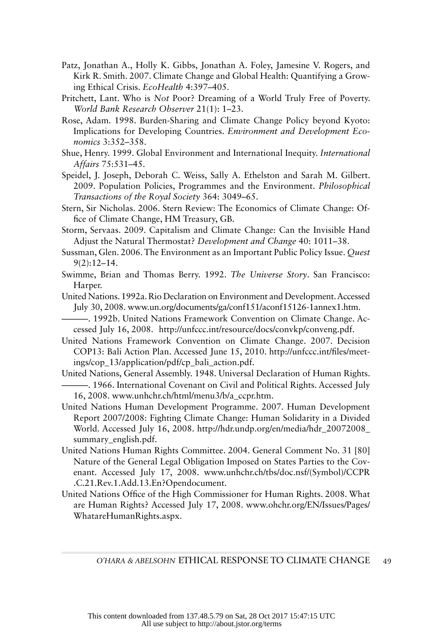- Patz, Jonathan A., Holly K. Gibbs, Jonathan A. Foley, Jamesine V. Rogers, and Kirk R. Smith. 2007. Climate Change and Global Health: Quantifying a Growing Ethical Crisis. *EcoHealth* 4:397–405.
- Pritchett, Lant. Who is *Not* Poor? Dreaming of a World Truly Free of Poverty. *World Bank Research Observer* 21(1): 1–23.
- Rose, Adam. 1998. Burden-Sharing and Climate Change Policy beyond Kyoto: Implications for Developing Countries. *Environment and Development Economics* 3:352–358.
- Shue, Henry. 1999. Global Environment and International Inequity. *International Affairs* 75:531–45.
- Speidel, J. Joseph, Deborah C. Weiss, Sally A. Ethelston and Sarah M. Gilbert. 2009. Population Policies, Programmes and the Environment. *Philosophical Transactions of the Royal Society* 364: 3049–65.
- Stern, Sir Nicholas. 2006. Stern Review: The Economics of Climate Change: Office of Climate Change, HM Treasury, GB.
- Storm, Servaas. 2009. Capitalism and Climate Change: Can the Invisible Hand Adjust the Natural Thermostat? *Development and Change* 40: 1011–38.
- Sussman, Glen. 2006. The Environment as an Important Public Policy Issue. *Quest* 9(2):12–14.
- Swimme, Brian and Thomas Berry. 1992. *The Universe Story*. San Francisco: Harper.
- United Nations. 1992a. Rio Declaration on Environment and Development. Accessed July 30, 2008. www.un.org/documents/ga/conf151/aconf15126-1annex1.htm.
- ———. 1992b. United Nations Framework Convention on Climate Change. Accessed July 16, 2008. http://unfccc.int/resource/docs/convkp/conveng.pdf.

United Nations Framework Convention on Climate Change. 2007. Decision COP13: Bali Action Plan. Accessed June 15, 2010. http://unfccc.int/files/meetings/cop\_13/application/pdf/cp\_bali\_action.pdf.

- United Nations, General Assembly. 1948. Universal Declaration of Human Rights. ———. 1966. International Covenant on Civil and Political Rights. Accessed July 16, 2008. www.unhchr.ch/html/menu3/b/a\_ccpr.htm.
- United Nations Human Development Programme. 2007. Human Development Report 2007/2008: Fighting Climate Change: Human Solidarity in a Divided World. Accessed July 16, 2008. http://hdr.undp.org/en/media/hdr\_20072008\_ summary\_english.pdf.
- United Nations Human Rights Committee. 2004. General Comment No. 31 [80] Nature of the General Legal Obligation Imposed on States Parties to the Covenant. Accessed July 17, 2008. www.unhchr.ch/tbs/doc.nsf/(Symbol)/CCPR .C.21.Rev.1.Add.13.En?Opendocument.
- United Nations Office of the High Commissioner for Human Rights. 2008. What are Human Rights? Accessed July 17, 2008. www.ohchr.org/EN/Issues/Pages/ WhatareHumanRights.aspx.

*o'hara & abelsohn* ethical response to climate change 49